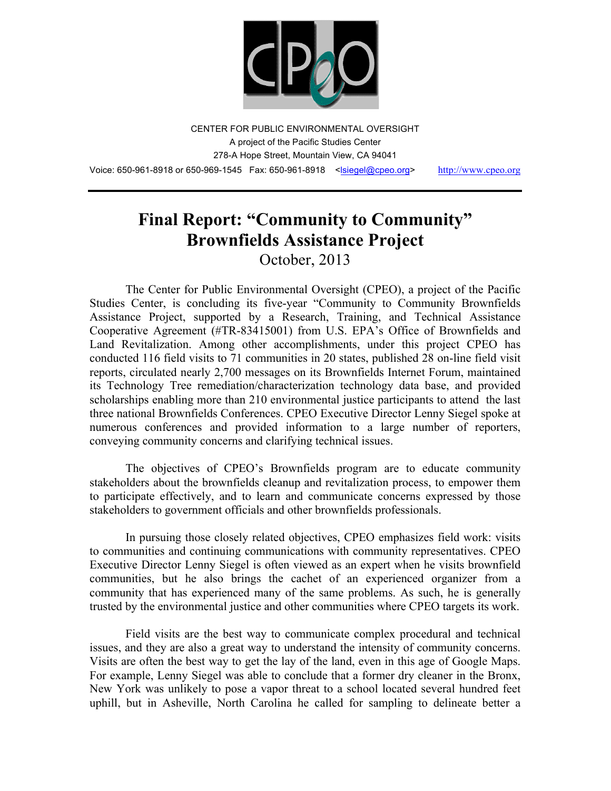

CENTER FOR PUBLIC ENVIRONMENTAL OVERSIGHT A project of the Pacific Studies Center 278-A Hope Street, Mountain View, CA 94041 Voice: 650-961-8918 or 650-969-1545 Fax: 650-961-8918 <lsiegel@cpeo.org> http://www.cpeo.org

# **Final Report: "Community to Community" Brownfields Assistance Project**

October, 2013

The Center for Public Environmental Oversight (CPEO), a project of the Pacific Studies Center, is concluding its five-year "Community to Community Brownfields Assistance Project, supported by a Research, Training, and Technical Assistance Cooperative Agreement (#TR-83415001) from U.S. EPA's Office of Brownfields and Land Revitalization. Among other accomplishments, under this project CPEO has conducted 116 field visits to 71 communities in 20 states, published 28 on-line field visit reports, circulated nearly 2,700 messages on its Brownfields Internet Forum, maintained its Technology Tree remediation/characterization technology data base, and provided scholarships enabling more than 210 environmental justice participants to attend the last three national Brownfields Conferences. CPEO Executive Director Lenny Siegel spoke at numerous conferences and provided information to a large number of reporters, conveying community concerns and clarifying technical issues.

The objectives of CPEO's Brownfields program are to educate community stakeholders about the brownfields cleanup and revitalization process, to empower them to participate effectively, and to learn and communicate concerns expressed by those stakeholders to government officials and other brownfields professionals.

In pursuing those closely related objectives, CPEO emphasizes field work: visits to communities and continuing communications with community representatives. CPEO Executive Director Lenny Siegel is often viewed as an expert when he visits brownfield communities, but he also brings the cachet of an experienced organizer from a community that has experienced many of the same problems. As such, he is generally trusted by the environmental justice and other communities where CPEO targets its work.

Field visits are the best way to communicate complex procedural and technical issues, and they are also a great way to understand the intensity of community concerns. Visits are often the best way to get the lay of the land, even in this age of Google Maps. For example, Lenny Siegel was able to conclude that a former dry cleaner in the Bronx, New York was unlikely to pose a vapor threat to a school located several hundred feet uphill, but in Asheville, North Carolina he called for sampling to delineate better a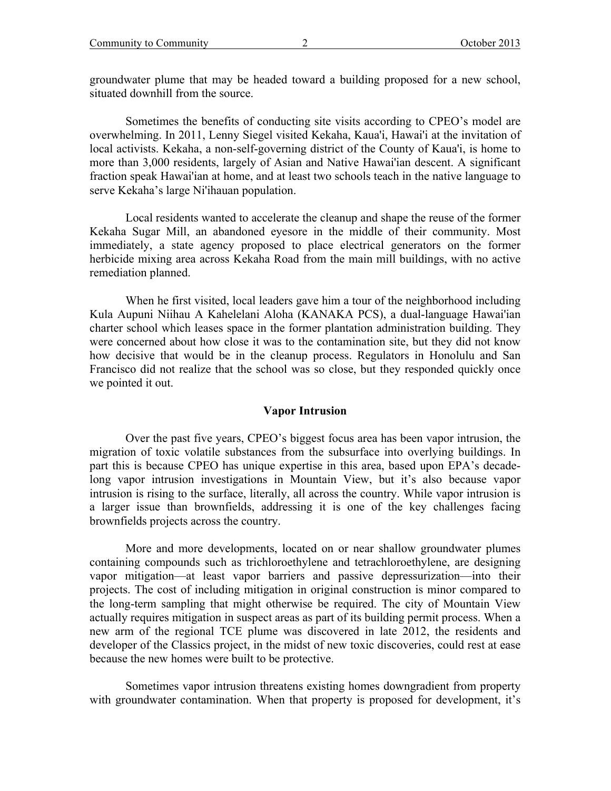groundwater plume that may be headed toward a building proposed for a new school, situated downhill from the source.

Sometimes the benefits of conducting site visits according to CPEO's model are overwhelming. In 2011, Lenny Siegel visited Kekaha, Kaua'i, Hawai'i at the invitation of local activists. Kekaha, a non-self-governing district of the County of Kaua'i, is home to more than 3,000 residents, largely of Asian and Native Hawai'ian descent. A significant fraction speak Hawai'ian at home, and at least two schools teach in the native language to serve Kekaha's large Ni'ihauan population.

Local residents wanted to accelerate the cleanup and shape the reuse of the former Kekaha Sugar Mill, an abandoned eyesore in the middle of their community. Most immediately, a state agency proposed to place electrical generators on the former herbicide mixing area across Kekaha Road from the main mill buildings, with no active remediation planned.

When he first visited, local leaders gave him a tour of the neighborhood including Kula Aupuni Niihau A Kahelelani Aloha (KANAKA PCS), a dual-language Hawai'ian charter school which leases space in the former plantation administration building. They were concerned about how close it was to the contamination site, but they did not know how decisive that would be in the cleanup process. Regulators in Honolulu and San Francisco did not realize that the school was so close, but they responded quickly once we pointed it out.

#### **Vapor Intrusion**

Over the past five years, CPEO's biggest focus area has been vapor intrusion, the migration of toxic volatile substances from the subsurface into overlying buildings. In part this is because CPEO has unique expertise in this area, based upon EPA's decadelong vapor intrusion investigations in Mountain View, but it's also because vapor intrusion is rising to the surface, literally, all across the country. While vapor intrusion is a larger issue than brownfields, addressing it is one of the key challenges facing brownfields projects across the country.

More and more developments, located on or near shallow groundwater plumes containing compounds such as trichloroethylene and tetrachloroethylene, are designing vapor mitigation—at least vapor barriers and passive depressurization—into their projects. The cost of including mitigation in original construction is minor compared to the long-term sampling that might otherwise be required. The city of Mountain View actually requires mitigation in suspect areas as part of its building permit process. When a new arm of the regional TCE plume was discovered in late 2012, the residents and developer of the Classics project, in the midst of new toxic discoveries, could rest at ease because the new homes were built to be protective.

Sometimes vapor intrusion threatens existing homes downgradient from property with groundwater contamination. When that property is proposed for development, it's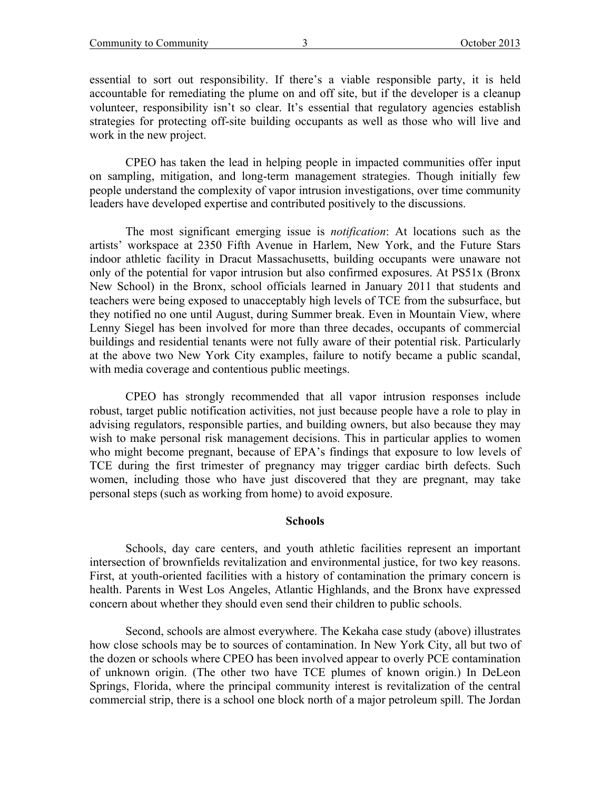essential to sort out responsibility. If there's a viable responsible party, it is held accountable for remediating the plume on and off site, but if the developer is a cleanup volunteer, responsibility isn't so clear. It's essential that regulatory agencies establish strategies for protecting off-site building occupants as well as those who will live and work in the new project.

CPEO has taken the lead in helping people in impacted communities offer input on sampling, mitigation, and long-term management strategies. Though initially few people understand the complexity of vapor intrusion investigations, over time community leaders have developed expertise and contributed positively to the discussions.

The most significant emerging issue is *notification*: At locations such as the artists' workspace at 2350 Fifth Avenue in Harlem, New York, and the Future Stars indoor athletic facility in Dracut Massachusetts, building occupants were unaware not only of the potential for vapor intrusion but also confirmed exposures. At PS51x (Bronx New School) in the Bronx, school officials learned in January 2011 that students and teachers were being exposed to unacceptably high levels of TCE from the subsurface, but they notified no one until August, during Summer break. Even in Mountain View, where Lenny Siegel has been involved for more than three decades, occupants of commercial buildings and residential tenants were not fully aware of their potential risk. Particularly at the above two New York City examples, failure to notify became a public scandal, with media coverage and contentious public meetings.

CPEO has strongly recommended that all vapor intrusion responses include robust, target public notification activities, not just because people have a role to play in advising regulators, responsible parties, and building owners, but also because they may wish to make personal risk management decisions. This in particular applies to women who might become pregnant, because of EPA's findings that exposure to low levels of TCE during the first trimester of pregnancy may trigger cardiac birth defects. Such women, including those who have just discovered that they are pregnant, may take personal steps (such as working from home) to avoid exposure.

### **Schools**

Schools, day care centers, and youth athletic facilities represent an important intersection of brownfields revitalization and environmental justice, for two key reasons. First, at youth-oriented facilities with a history of contamination the primary concern is health. Parents in West Los Angeles, Atlantic Highlands, and the Bronx have expressed concern about whether they should even send their children to public schools.

Second, schools are almost everywhere. The Kekaha case study (above) illustrates how close schools may be to sources of contamination. In New York City, all but two of the dozen or schools where CPEO has been involved appear to overly PCE contamination of unknown origin. (The other two have TCE plumes of known origin.) In DeLeon Springs, Florida, where the principal community interest is revitalization of the central commercial strip, there is a school one block north of a major petroleum spill. The Jordan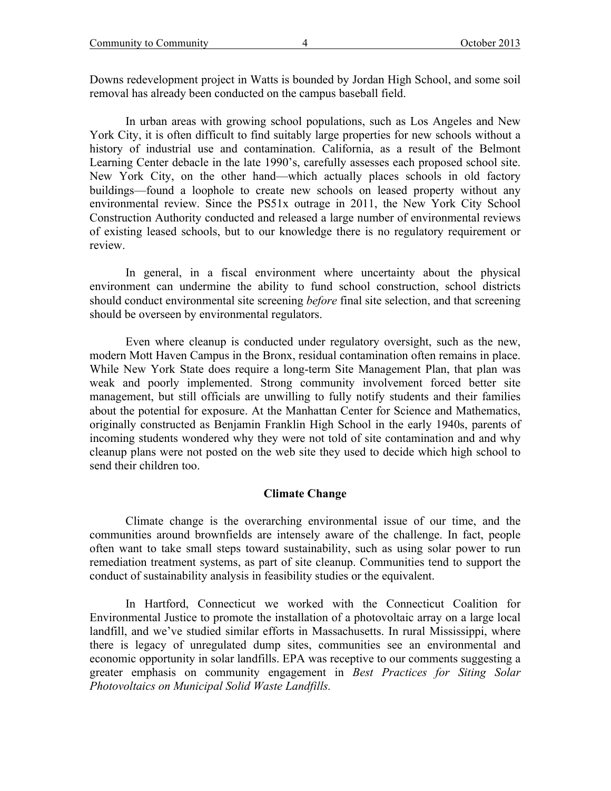Downs redevelopment project in Watts is bounded by Jordan High School, and some soil removal has already been conducted on the campus baseball field.

In urban areas with growing school populations, such as Los Angeles and New York City, it is often difficult to find suitably large properties for new schools without a history of industrial use and contamination. California, as a result of the Belmont Learning Center debacle in the late 1990's, carefully assesses each proposed school site. New York City, on the other hand—which actually places schools in old factory buildings—found a loophole to create new schools on leased property without any environmental review. Since the PS51x outrage in 2011, the New York City School Construction Authority conducted and released a large number of environmental reviews of existing leased schools, but to our knowledge there is no regulatory requirement or review.

In general, in a fiscal environment where uncertainty about the physical environment can undermine the ability to fund school construction, school districts should conduct environmental site screening *before* final site selection, and that screening should be overseen by environmental regulators.

Even where cleanup is conducted under regulatory oversight, such as the new, modern Mott Haven Campus in the Bronx, residual contamination often remains in place. While New York State does require a long-term Site Management Plan, that plan was weak and poorly implemented. Strong community involvement forced better site management, but still officials are unwilling to fully notify students and their families about the potential for exposure. At the Manhattan Center for Science and Mathematics, originally constructed as Benjamin Franklin High School in the early 1940s, parents of incoming students wondered why they were not told of site contamination and and why cleanup plans were not posted on the web site they used to decide which high school to send their children too.

### **Climate Change**

Climate change is the overarching environmental issue of our time, and the communities around brownfields are intensely aware of the challenge. In fact, people often want to take small steps toward sustainability, such as using solar power to run remediation treatment systems, as part of site cleanup. Communities tend to support the conduct of sustainability analysis in feasibility studies or the equivalent.

In Hartford, Connecticut we worked with the Connecticut Coalition for Environmental Justice to promote the installation of a photovoltaic array on a large local landfill, and we've studied similar efforts in Massachusetts. In rural Mississippi, where there is legacy of unregulated dump sites, communities see an environmental and economic opportunity in solar landfills. EPA was receptive to our comments suggesting a greater emphasis on community engagement in *Best Practices for Siting Solar Photovoltaics on Municipal Solid Waste Landfills.*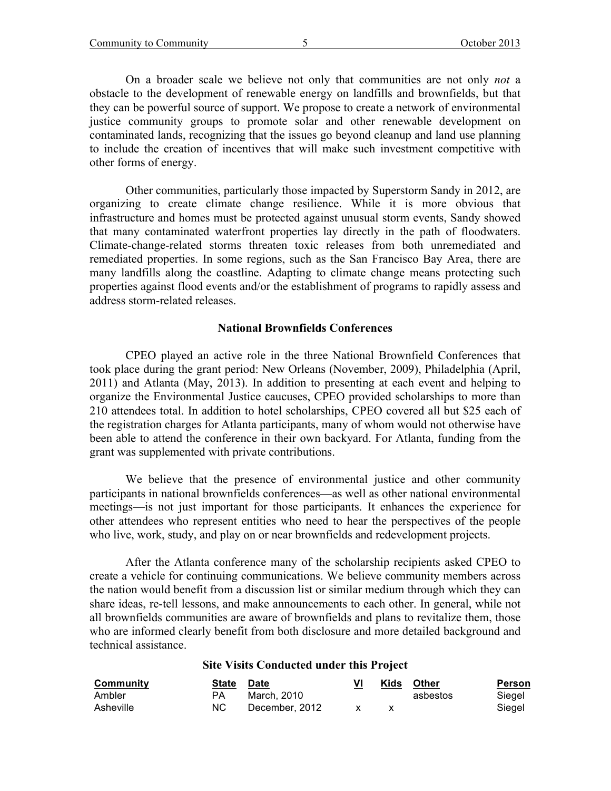On a broader scale we believe not only that communities are not only *not* a obstacle to the development of renewable energy on landfills and brownfields, but that they can be powerful source of support. We propose to create a network of environmental justice community groups to promote solar and other renewable development on contaminated lands, recognizing that the issues go beyond cleanup and land use planning to include the creation of incentives that will make such investment competitive with other forms of energy.

Other communities, particularly those impacted by Superstorm Sandy in 2012, are organizing to create climate change resilience. While it is more obvious that infrastructure and homes must be protected against unusual storm events, Sandy showed that many contaminated waterfront properties lay directly in the path of floodwaters. Climate-change-related storms threaten toxic releases from both unremediated and remediated properties. In some regions, such as the San Francisco Bay Area, there are many landfills along the coastline. Adapting to climate change means protecting such properties against flood events and/or the establishment of programs to rapidly assess and address storm-related releases.

#### **National Brownfields Conferences**

CPEO played an active role in the three National Brownfield Conferences that took place during the grant period: New Orleans (November, 2009), Philadelphia (April, 2011) and Atlanta (May, 2013). In addition to presenting at each event and helping to organize the Environmental Justice caucuses, CPEO provided scholarships to more than 210 attendees total. In addition to hotel scholarships, CPEO covered all but \$25 each of the registration charges for Atlanta participants, many of whom would not otherwise have been able to attend the conference in their own backyard. For Atlanta, funding from the grant was supplemented with private contributions.

We believe that the presence of environmental justice and other community participants in national brownfields conferences—as well as other national environmental meetings—is not just important for those participants. It enhances the experience for other attendees who represent entities who need to hear the perspectives of the people who live, work, study, and play on or near brownfields and redevelopment projects.

After the Atlanta conference many of the scholarship recipients asked CPEO to create a vehicle for continuing communications. We believe community members across the nation would benefit from a discussion list or similar medium through which they can share ideas, re-tell lessons, and make announcements to each other. In general, while not all brownfields communities are aware of brownfields and plans to revitalize them, those who are informed clearly benefit from both disclosure and more detailed background and technical assistance.

## **Site Visits Conducted under this Project**

| Community | <b>State</b> | <b>Date</b>    |    | Kids | Other    | Person |
|-----------|--------------|----------------|----|------|----------|--------|
| Ambler    | PА           | March. 2010    |    |      | asbestos | Siegel |
| Asheville | NC.          | December, 2012 | X. |      |          | Siegel |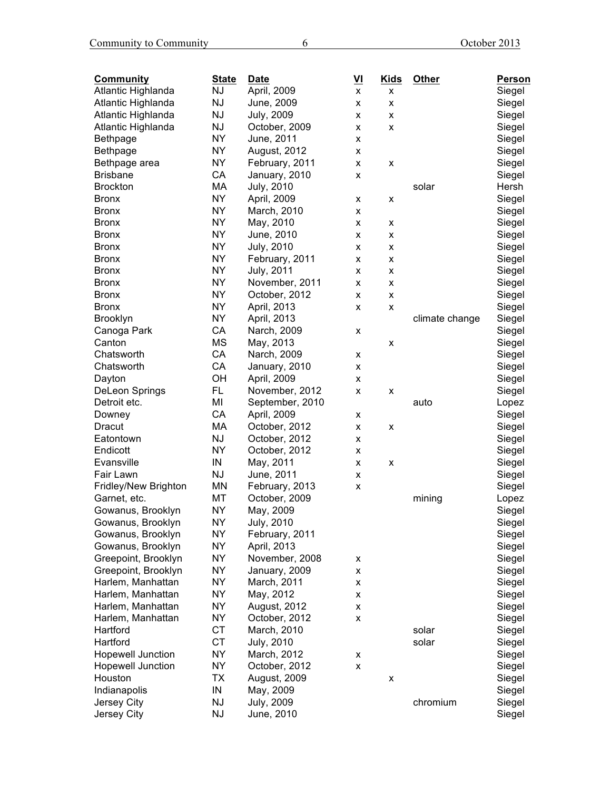| <b>Community</b>         | <b>State</b> | <b>Date</b>                   | VI | <b>Kids</b>    | <b>Other</b>   | Person |
|--------------------------|--------------|-------------------------------|----|----------------|----------------|--------|
| Atlantic Highlanda       | <b>NJ</b>    | April, 2009                   | x  | x              |                | Siegel |
| Atlantic Highlanda       | <b>NJ</b>    | June, 2009                    | x  | x              |                | Siegel |
| Atlantic Highlanda       | <b>NJ</b>    | <b>July, 2009</b>             | x  | x              |                | Siegel |
| Atlantic Highlanda       | <b>NJ</b>    | October, 2009                 | x  | x              |                | Siegel |
| <b>Bethpage</b>          | <b>NY</b>    | June, 2011                    | x  |                |                | Siegel |
| Bethpage                 | <b>NY</b>    | August, 2012                  | x  |                |                | Siegel |
| Bethpage area            | <b>NY</b>    | February, 2011                | x  | x              |                | Siegel |
| <b>Brisbane</b>          | CA           | January, 2010                 | x  |                |                | Siegel |
| <b>Brockton</b>          | МA           | <b>July, 2010</b>             |    |                | solar          | Hersh  |
| <b>Bronx</b>             | <b>NY</b>    | April, 2009                   | x  | x              |                | Siegel |
| <b>Bronx</b>             | <b>NY</b>    | March, 2010                   | x  |                |                | Siegel |
| <b>Bronx</b>             | <b>NY</b>    | May, 2010                     | x  | X              |                | Siegel |
| <b>Bronx</b>             | <b>NY</b>    | June, 2010                    | x  | x              |                | Siegel |
| <b>Bronx</b>             | <b>NY</b>    | <b>July, 2010</b>             | x  | x              |                | Siegel |
| <b>Bronx</b>             | <b>NY</b>    | February, 2011                | x  | x              |                | Siegel |
| <b>Bronx</b>             | <b>NY</b>    | <b>July, 2011</b>             | x  | x              |                | Siegel |
| <b>Bronx</b>             | <b>NY</b>    | November, 2011                | x  | X              |                | Siegel |
| <b>Bronx</b>             | <b>NY</b>    | October, 2012                 | X  | $\pmb{\times}$ |                | Siegel |
| <b>Bronx</b>             | <b>NY</b>    | April, 2013                   | x  | X              |                | Siegel |
| <b>Brooklyn</b>          | <b>NY</b>    | April, 2013                   |    |                | climate change | Siegel |
| Canoga Park              | CA           | Narch, 2009                   | x  |                |                | Siegel |
| Canton                   | <b>MS</b>    | May, 2013                     |    | x              |                | Siegel |
| Chatsworth               | CA           | Narch, 2009                   | X  |                |                | Siegel |
| Chatsworth               | CA           | January, 2010                 |    |                |                |        |
|                          | OH           |                               | x  |                |                | Siegel |
| Dayton                   | FL           | April, 2009<br>November, 2012 | x  |                |                | Siegel |
| <b>DeLeon Springs</b>    | MI           |                               | x  | X              |                | Siegel |
| Detroit etc.             |              | September, 2010               |    |                | auto           | Lopez  |
| Downey                   | CA           | April, 2009                   | x  |                |                | Siegel |
| Dracut                   | МA           | October, 2012                 | x  | x              |                | Siegel |
| Eatontown                | <b>NJ</b>    | October, 2012                 | x  |                |                | Siegel |
| Endicott                 | <b>NY</b>    | October, 2012                 | x  |                |                | Siegel |
| Evansville               | IN           | May, 2011                     | x  | X              |                | Siegel |
| Fair Lawn                | <b>NJ</b>    | June, 2011                    | x  |                |                | Siegel |
| Fridley/New Brighton     | MN           | February, 2013                | x  |                |                | Siegel |
| Garnet, etc.             | МT           | October, 2009                 |    |                | mining         | Lopez  |
| Gowanus, Brooklyn        | <b>NY</b>    | May, 2009                     |    |                |                | Siegel |
| Gowanus, Brooklyn        | <b>NY</b>    | July, 2010                    |    |                |                | Siegel |
| Gowanus, Brooklyn        | <b>NY</b>    | February, 2011                |    |                |                | Siegel |
| Gowanus, Brooklyn        | <b>NY</b>    | April, 2013                   |    |                |                | Siegel |
| Greepoint, Brooklyn      | <b>NY</b>    | November, 2008                | x  |                |                | Siegel |
| Greepoint, Brooklyn      | <b>NY</b>    | January, 2009                 | x  |                |                | Siegel |
| Harlem, Manhattan        | <b>NY</b>    | March, 2011                   | x  |                |                | Siegel |
| Harlem, Manhattan        | <b>NY</b>    | May, 2012                     | x  |                |                | Siegel |
| Harlem, Manhattan        | <b>NY</b>    | August, 2012                  | x  |                |                | Siegel |
| Harlem, Manhattan        | <b>NY</b>    | October, 2012                 | X  |                |                | Siegel |
| Hartford                 | <b>CT</b>    | March, 2010                   |    |                | solar          | Siegel |
| Hartford                 | <b>CT</b>    | <b>July, 2010</b>             |    |                | solar          | Siegel |
| <b>Hopewell Junction</b> | <b>NY</b>    | March, 2012                   | x  |                |                | Siegel |
| <b>Hopewell Junction</b> | <b>NY</b>    | October, 2012                 | x  |                |                | Siegel |
| Houston                  | TX           | August, 2009                  |    | X              |                | Siegel |
| Indianapolis             | IN           | May, 2009                     |    |                |                | Siegel |
| Jersey City              | NJ           | <b>July, 2009</b>             |    |                | chromium       | Siegel |
| Jersey City              | <b>NJ</b>    | June, 2010                    |    |                |                | Siegel |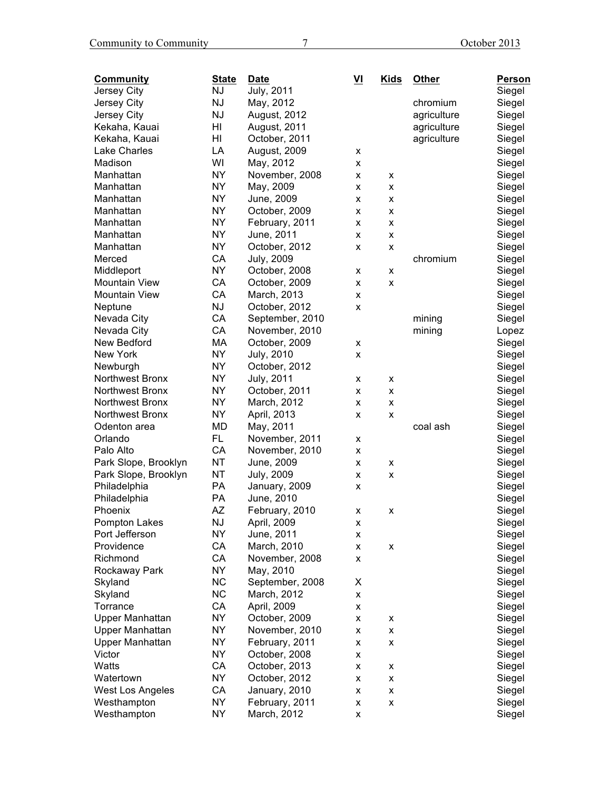| <b>Community</b>        | <b>State</b> | <b>Date</b>       | VI | <b>Kids</b> | Other       | <b>Person</b> |
|-------------------------|--------------|-------------------|----|-------------|-------------|---------------|
| Jersey City             | <b>NJ</b>    | <b>July, 2011</b> |    |             |             | Siegel        |
| Jersey City             | <b>NJ</b>    | May, 2012         |    |             | chromium    | Siegel        |
| Jersey City             | <b>NJ</b>    | August, 2012      |    |             | agriculture | Siegel        |
| Kekaha, Kauai           | HI           | August, 2011      |    |             | agriculture | Siegel        |
| Kekaha, Kauai           | HI           | October, 2011     |    |             | agriculture | Siegel        |
| Lake Charles            | LA           | August, 2009      | x  |             |             | Siegel        |
| Madison                 | WI           | May, 2012         | x  |             |             | Siegel        |
| Manhattan               | <b>NY</b>    | November, 2008    | x  | x           |             | Siegel        |
| Manhattan               | <b>NY</b>    | May, 2009         | x  | x           |             | Siegel        |
| Manhattan               | <b>NY</b>    | June, 2009        | x  | x           |             | Siegel        |
| Manhattan               | <b>NY</b>    | October, 2009     | x  | X           |             | Siegel        |
| Manhattan               | <b>NY</b>    | February, 2011    | x  | X           |             | Siegel        |
| Manhattan               | <b>NY</b>    | June, 2011        | x  | x           |             | Siegel        |
| Manhattan               | <b>NY</b>    | October, 2012     | x  | x           |             | Siegel        |
| Merced                  | CA           | <b>July, 2009</b> |    |             | chromium    | Siegel        |
| Middleport              | <b>NY</b>    | October, 2008     | x  | X           |             | Siegel        |
| <b>Mountain View</b>    | CA           | October, 2009     | x  | x           |             | Siegel        |
| <b>Mountain View</b>    | CA           | March, 2013       | x  |             |             | Siegel        |
| Neptune                 | <b>NJ</b>    | October, 2012     | x  |             |             | Siegel        |
| Nevada City             | CA           | September, 2010   |    |             | mining      | Siegel        |
| Nevada City             | CA           | November, 2010    |    |             | mining      | Lopez         |
| New Bedford             | MA           | October, 2009     | x  |             |             | Siegel        |
| New York                | <b>NY</b>    | <b>July, 2010</b> | x  |             |             | Siegel        |
| Newburgh                | <b>NY</b>    | October, 2012     |    |             |             | Siegel        |
| Northwest Bronx         | <b>NY</b>    | <b>July, 2011</b> | x  | x           |             | Siegel        |
| Northwest Bronx         | <b>NY</b>    | October, 2011     | x  | x           |             | Siegel        |
| Northwest Bronx         | <b>NY</b>    | March, 2012       | x  | x           |             | Siegel        |
| Northwest Bronx         | <b>NY</b>    | April, 2013       | x  | x           |             | Siegel        |
| Odenton area            | <b>MD</b>    | May, 2011         |    |             | coal ash    | Siegel        |
| Orlando                 | FL.          | November, 2011    | x  |             |             | Siegel        |
| Palo Alto               | CA           | November, 2010    | x  |             |             | Siegel        |
| Park Slope, Brooklyn    | <b>NT</b>    | June, 2009        | x  | x           |             | Siegel        |
| Park Slope, Brooklyn    | <b>NT</b>    | <b>July, 2009</b> | x  | x           |             | Siegel        |
| Philadelphia            | PA           | January, 2009     | x  |             |             | Siegel        |
| Philadelphia            | PA           | June, 2010        |    |             |             | Siegel        |
| Phoenix                 | AZ           | February, 2010    | x  | x           |             | Siegel        |
| Pompton Lakes           | NJ           | April, 2009       | x  |             |             | Siegel        |
| Port Jefferson          | <b>NY</b>    | June, 2011        | x  |             |             | Siegel        |
| Providence              | CA           | March, 2010       | X  | X           |             | Siegel        |
| Richmond                | CA           | November, 2008    | x  |             |             | Siegel        |
| Rockaway Park           | <b>NY</b>    | May, 2010         |    |             |             | Siegel        |
| Skyland                 | <b>NC</b>    | September, 2008   | X  |             |             | Siegel        |
| Skyland                 | <b>NC</b>    | March, 2012       | X  |             |             | Siegel        |
| Torrance                | CA           | April, 2009       | X  |             |             | Siegel        |
| Upper Manhattan         | <b>NY</b>    | October, 2009     | X  | x           |             | Siegel        |
| Upper Manhattan         | <b>NY</b>    | November, 2010    | X  | X           |             | Siegel        |
| <b>Upper Manhattan</b>  | <b>NY</b>    | February, 2011    | X  | X           |             | Siegel        |
| Victor                  | <b>NY</b>    | October, 2008     | X  |             |             | Siegel        |
| Watts                   | CA           | October, 2013     | X  | x           |             | Siegel        |
| Watertown               | <b>NY</b>    | October, 2012     | X  | X           |             | Siegel        |
| <b>West Los Angeles</b> | CA           | January, 2010     | X  | X           |             | Siegel        |
| Westhampton             | <b>NY</b>    | February, 2011    | X  | X           |             | Siegel        |
| Westhampton             | <b>NY</b>    | March, 2012       | X  |             |             | Siegel        |